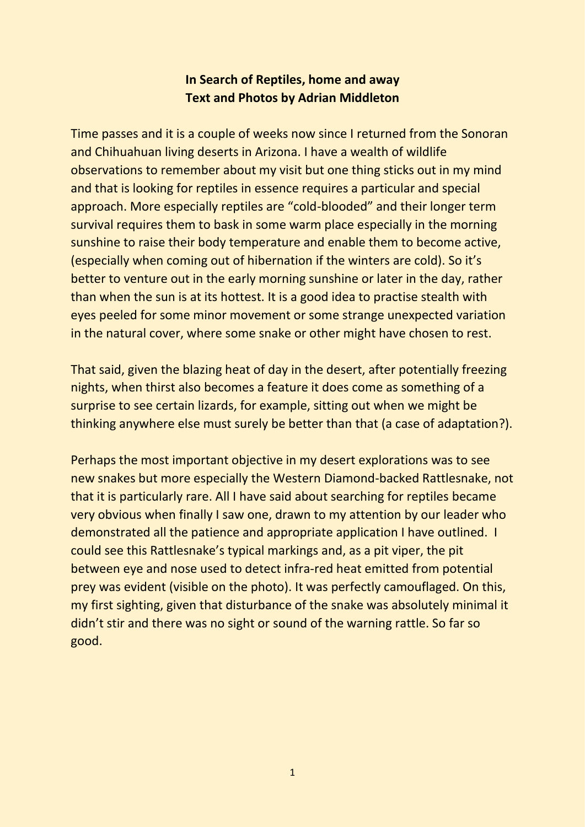## **In Search of Reptiles, home and away Text and Photos by Adrian Middleton**

Time passes and it is a couple of weeks now since I returned from the Sonoran and Chihuahuan living deserts in Arizona. I have a wealth of wildlife observations to remember about my visit but one thing sticks out in my mind and that is looking for reptiles in essence requires a particular and special approach. More especially reptiles are "cold-blooded" and their longer term survival requires them to bask in some warm place especially in the morning sunshine to raise their body temperature and enable them to become active, (especially when coming out of hibernation if the winters are cold). So it's better to venture out in the early morning sunshine or later in the day, rather than when the sun is at its hottest. It is a good idea to practise stealth with eyes peeled for some minor movement or some strange unexpected variation in the natural cover, where some snake or other might have chosen to rest.

That said, given the blazing heat of day in the desert, after potentially freezing nights, when thirst also becomes a feature it does come as something of a surprise to see certain lizards, for example, sitting out when we might be thinking anywhere else must surely be better than that (a case of adaptation?).

Perhaps the most important objective in my desert explorations was to see new snakes but more especially the Western Diamond-backed Rattlesnake, not that it is particularly rare. All I have said about searching for reptiles became very obvious when finally I saw one, drawn to my attention by our leader who demonstrated all the patience and appropriate application I have outlined. I could see this Rattlesnake's typical markings and, as a pit viper, the pit between eye and nose used to detect infra-red heat emitted from potential prey was evident (visible on the photo). It was perfectly camouflaged. On this, my first sighting, given that disturbance of the snake was absolutely minimal it didn't stir and there was no sight or sound of the warning rattle. So far so good.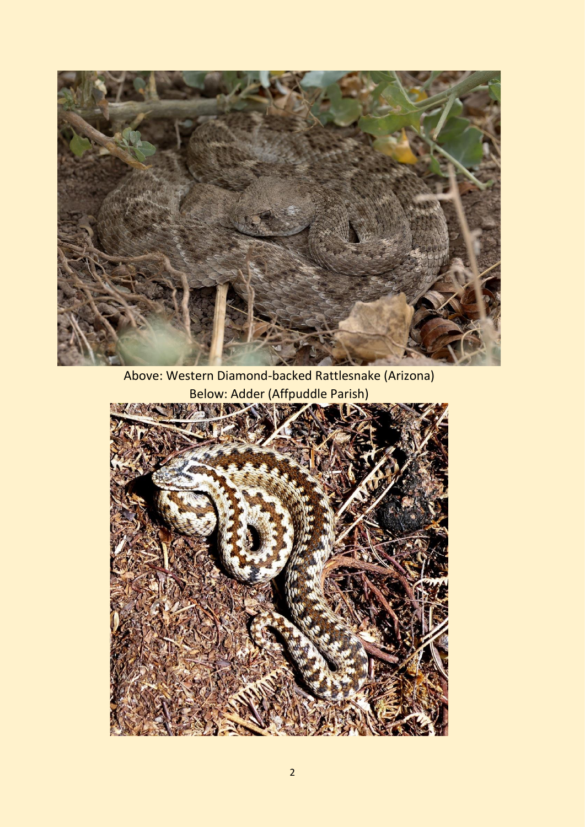

Above: Western Diamond-backed Rattlesnake (Arizona)